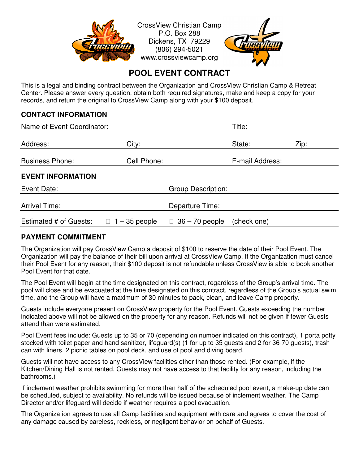

# **POOL EVENT CONTRACT**

This is a legal and binding contract between the Organization and CrossView Christian Camp & Retreat Center. Please answer every question, obtain both required signatures, make and keep a copy for your records, and return the original to CrossView Camp along with your \$100 deposit.

#### **CONTACT INFORMATION**

| Name of Event Coordinator: |                           | Title:                     |                 |      |
|----------------------------|---------------------------|----------------------------|-----------------|------|
| Address:                   | City:                     |                            | State:          | Zip: |
| <b>Business Phone:</b>     | Cell Phone:               |                            | E-mail Address: |      |
| <b>EVENT INFORMATION</b>   |                           |                            |                 |      |
| Event Date:                | <b>Group Description:</b> |                            |                 |      |
| <b>Arrival Time:</b>       | Departure Time:           |                            |                 |      |
| Estimated # of Guests:     | $\Box$ 1 – 35 people      | $36 - 70$ people<br>$\Box$ | (check one)     |      |

#### **PAYMENT COMMITMENT**

The Organization will pay CrossView Camp a deposit of \$100 to reserve the date of their Pool Event. The Organization will pay the balance of their bill upon arrival at CrossView Camp. If the Organization must cancel their Pool Event for any reason, their \$100 deposit is not refundable unless CrossView is able to book another Pool Event for that date.

The Pool Event will begin at the time designated on this contract, regardless of the Group's arrival time. The pool will close and be evacuated at the time designated on this contract, regardless of the Group's actual swim time, and the Group will have a maximum of 30 minutes to pack, clean, and leave Camp property.

Guests include everyone present on CrossView property for the Pool Event. Guests exceeding the number indicated above will not be allowed on the property for any reason. Refunds will not be given if fewer Guests attend than were estimated.

Pool Event fees include: Guests up to 35 or 70 (depending on number indicated on this contract), 1 porta potty stocked with toilet paper and hand sanitizer, lifeguard(s) (1 for up to 35 guests and 2 for 36-70 guests), trash can with liners, 2 picnic tables on pool deck, and use of pool and diving board.

Guests will not have access to any CrossView facilities other than those rented. (For example, if the Kitchen/Dining Hall is not rented, Guests may not have access to that facility for any reason, including the bathrooms.)

If inclement weather prohibits swimming for more than half of the scheduled pool event, a make-up date can be scheduled, subject to availability. No refunds will be issued because of inclement weather. The Camp Director and/or lifeguard will decide if weather requires a pool evacuation.

The Organization agrees to use all Camp facilities and equipment with care and agrees to cover the cost of any damage caused by careless, reckless, or negligent behavior on behalf of Guests.